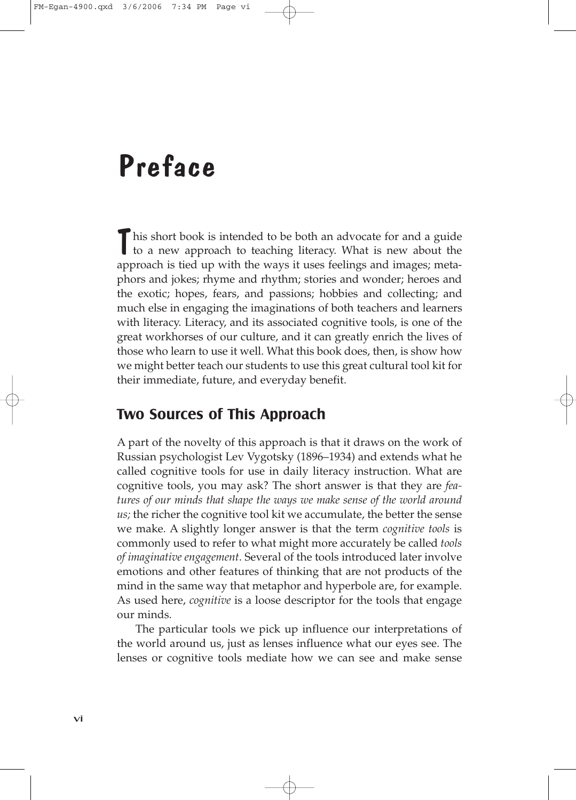# Preface

his short book is intended to be both an advocate for and a guide to a new approach to teaching literacy. What is new about the approach is tied up with the ways it uses feelings and images; metaphors and jokes; rhyme and rhythm; stories and wonder; heroes and the exotic; hopes, fears, and passions; hobbies and collecting; and much else in engaging the imaginations of both teachers and learners with literacy. Literacy, and its associated cognitive tools, is one of the great workhorses of our culture, and it can greatly enrich the lives of those who learn to use it well. What this book does, then, is show how we might better teach our students to use this great cultural tool kit for their immediate, future, and everyday benefit.

#### **Two Sources of This Approach**

A part of the novelty of this approach is that it draws on the work of Russian psychologist Lev Vygotsky (1896–1934) and extends what he called cognitive tools for use in daily literacy instruction. What are cognitive tools, you may ask? The short answer is that they are *features of our minds that shape the ways we make sense of the world around us;* the richer the cognitive tool kit we accumulate, the better the sense we make. A slightly longer answer is that the term *cognitive tools* is commonly used to refer to what might more accurately be called *tools of imaginative engagement*. Several of the tools introduced later involve emotions and other features of thinking that are not products of the mind in the same way that metaphor and hyperbole are, for example. As used here, *cognitive* is a loose descriptor for the tools that engage our minds.

The particular tools we pick up influence our interpretations of the world around us, just as lenses influence what our eyes see. The lenses or cognitive tools mediate how we can see and make sense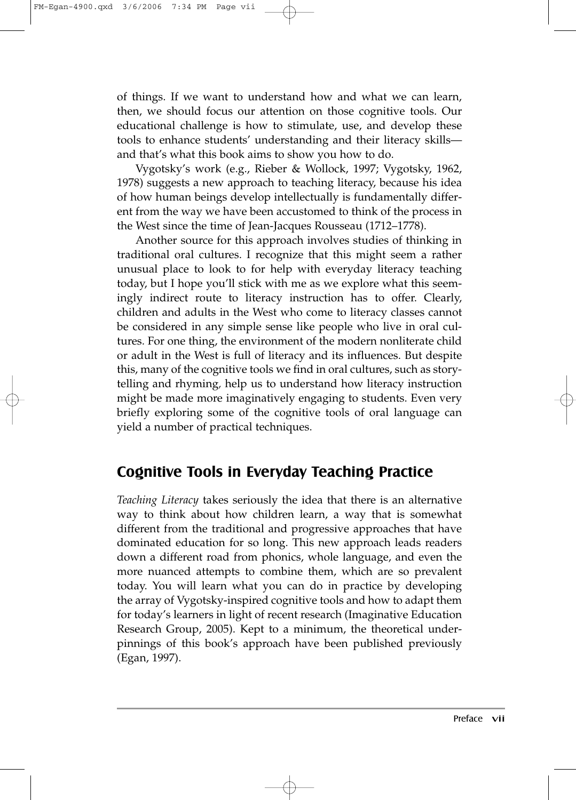of things. If we want to understand how and what we can learn, then, we should focus our attention on those cognitive tools. Our educational challenge is how to stimulate, use, and develop these tools to enhance students' understanding and their literacy skills and that's what this book aims to show you how to do.

Vygotsky's work (e.g., Rieber & Wollock, 1997; Vygotsky, 1962, 1978) suggests a new approach to teaching literacy, because his idea of how human beings develop intellectually is fundamentally different from the way we have been accustomed to think of the process in the West since the time of Jean-Jacques Rousseau (1712–1778).

Another source for this approach involves studies of thinking in traditional oral cultures. I recognize that this might seem a rather unusual place to look to for help with everyday literacy teaching today, but I hope you'll stick with me as we explore what this seemingly indirect route to literacy instruction has to offer. Clearly, children and adults in the West who come to literacy classes cannot be considered in any simple sense like people who live in oral cultures. For one thing, the environment of the modern nonliterate child or adult in the West is full of literacy and its influences. But despite this, many of the cognitive tools we find in oral cultures, such as storytelling and rhyming*,* help us to understand how literacy instruction might be made more imaginatively engaging to students. Even very briefly exploring some of the cognitive tools of oral language can yield a number of practical techniques.

## **Cognitive Tools in Everyday Teaching Practice**

*Teaching Literacy* takes seriously the idea that there is an alternative way to think about how children learn, a way that is somewhat different from the traditional and progressive approaches that have dominated education for so long. This new approach leads readers down a different road from phonics, whole language, and even the more nuanced attempts to combine them, which are so prevalent today. You will learn what you can do in practice by developing the array of Vygotsky-inspired cognitive tools and how to adapt them for today's learners in light of recent research (Imaginative Education Research Group, 2005). Kept to a minimum, the theoretical underpinnings of this book's approach have been published previously (Egan, 1997).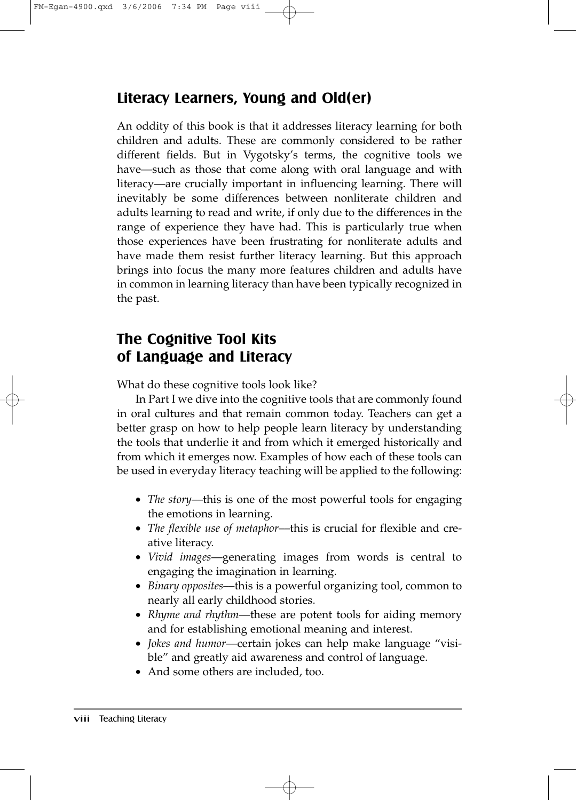#### **Literacy Learners, Young and Old(er)**

An oddity of this book is that it addresses literacy learning for both children and adults. These are commonly considered to be rather different fields. But in Vygotsky's terms, the cognitive tools we have—such as those that come along with oral language and with literacy—are crucially important in influencing learning. There will inevitably be some differences between nonliterate children and adults learning to read and write, if only due to the differences in the range of experience they have had. This is particularly true when those experiences have been frustrating for nonliterate adults and have made them resist further literacy learning. But this approach brings into focus the many more features children and adults have in common in learning literacy than have been typically recognized in the past.

# **The Cognitive Tool Kits of Language and Literacy**

What do these cognitive tools look like?

In Part I we dive into the cognitive tools that are commonly found in oral cultures and that remain common today. Teachers can get a better grasp on how to help people learn literacy by understanding the tools that underlie it and from which it emerged historically and from which it emerges now. Examples of how each of these tools can be used in everyday literacy teaching will be applied to the following:

- *The story*––this is one of the most powerful tools for engaging the emotions in learning.
- *The flexible use of metaphor*––this is crucial for flexible and creative literacy.
- *Vivid images*––generating images from words is central to engaging the imagination in learning.
- *Binary opposites*––this is a powerful organizing tool, common to nearly all early childhood stories.
- *Rhyme and rhythm*––these are potent tools for aiding memory and for establishing emotional meaning and interest.
- *Jokes and humor*––certain jokes can help make language "visible" and greatly aid awareness and control of language.
- And some others are included, too.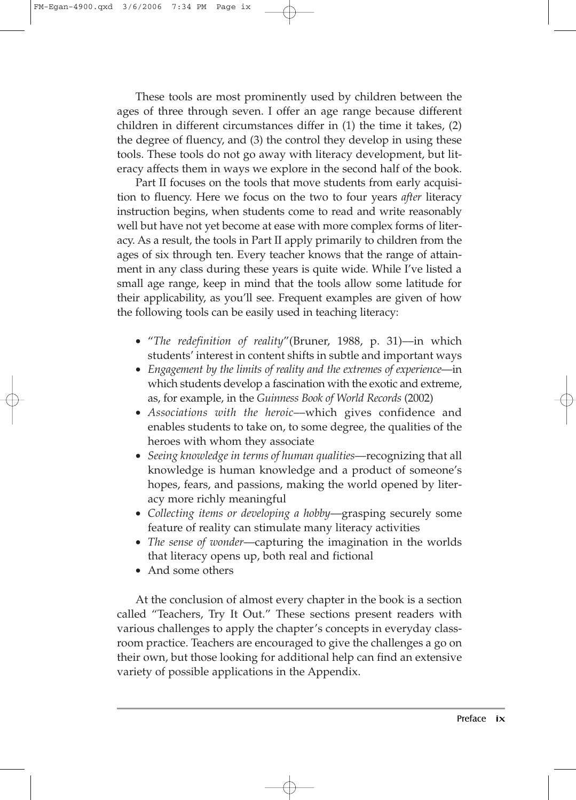These tools are most prominently used by children between the ages of three through seven. I offer an age range because different children in different circumstances differ in (1) the time it takes, (2) the degree of fluency, and (3) the control they develop in using these tools. These tools do not go away with literacy development, but literacy affects them in ways we explore in the second half of the book.

Part II focuses on the tools that move students from early acquisition to fluency. Here we focus on the two to four years *after* literacy instruction begins, when students come to read and write reasonably well but have not yet become at ease with more complex forms of literacy. As a result, the tools in Part II apply primarily to children from the ages of six through ten. Every teacher knows that the range of attainment in any class during these years is quite wide. While I've listed a small age range, keep in mind that the tools allow some latitude for their applicability, as you'll see. Frequent examples are given of how the following tools can be easily used in teaching literacy:

- "*The redefinition of reality*"(Bruner, 1988, p. 31)––in which students' interest in content shifts in subtle and important ways
- *Engagement by the limits of reality and the extremes of experience—in* which students develop a fascination with the exotic and extreme, as, for example, in the *Guinness Book of World Records* (2002)
- *Associations with the heroic*––which gives confidence and enables students to take on, to some degree, the qualities of the heroes with whom they associate
- *Seeing knowledge in terms of human qualities*––recognizing that all knowledge is human knowledge and a product of someone's hopes, fears, and passions, making the world opened by literacy more richly meaningful
- *Collecting items or developing a hobby*––grasping securely some feature of reality can stimulate many literacy activities
- *The sense of wonder*––capturing the imagination in the worlds that literacy opens up, both real and fictional
- And some others

At the conclusion of almost every chapter in the book is a section called "Teachers, Try It Out." These sections present readers with various challenges to apply the chapter's concepts in everyday classroom practice. Teachers are encouraged to give the challenges a go on their own, but those looking for additional help can find an extensive variety of possible applications in the Appendix.